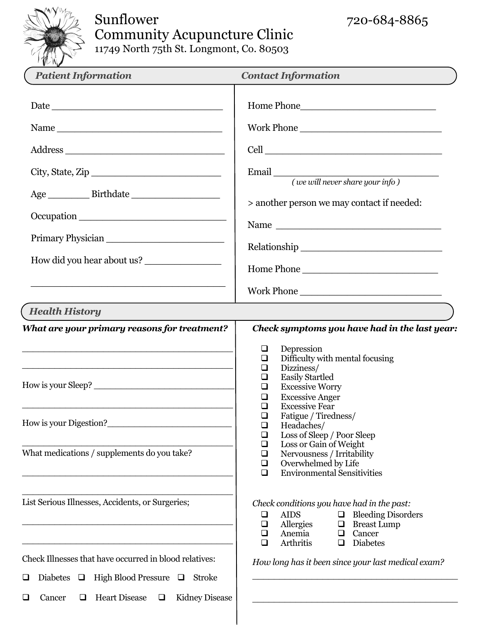

# Sunflower 720-684-8865 Community Acupuncture Clinic

11749 North 75th St. Longmont, Co. 80503

| <b>Patient Information</b>                                                                                                                                                                                                                                     | <b>Contact Information</b>                                                                                                                                                                                                                                                                                                                                                                                                                                                                                                                          |
|----------------------------------------------------------------------------------------------------------------------------------------------------------------------------------------------------------------------------------------------------------------|-----------------------------------------------------------------------------------------------------------------------------------------------------------------------------------------------------------------------------------------------------------------------------------------------------------------------------------------------------------------------------------------------------------------------------------------------------------------------------------------------------------------------------------------------------|
| Name<br>City, State, Zip<br>Occupation<br>Primary Physician<br>How did you hear about us?                                                                                                                                                                      | Home Phone<br>Work Phone<br>> another person we may contact if needed:<br>Home Phone                                                                                                                                                                                                                                                                                                                                                                                                                                                                |
| <b>Health History</b>                                                                                                                                                                                                                                          | Work Phone                                                                                                                                                                                                                                                                                                                                                                                                                                                                                                                                          |
| What are your primary reasons for treatment?<br>How is your Sleep?<br>How is your Digestion?<br>What medications / supplements do you take?                                                                                                                    | Check symptoms you have had in the last year:<br>Depression<br>$\Box$<br>Difficulty with mental focusing<br>$\Box$<br>Dizziness/<br>$\Box$<br><b>Easily Startled</b><br>$\Box$<br><b>Excessive Worry</b><br>$\Box$<br><b>Excessive Anger</b><br>$\Box$<br><b>Excessive Fear</b><br>□<br>Fatigue / Tiredness/<br>$\Box$<br>Headaches/<br>$\Box$<br>Loss of Sleep / Poor Sleep<br>$\Box$<br>Loss or Gain of Weight<br>$\Box$<br>Nervousness / Irritability<br>$\Box$<br>Overwhelmed by Life<br>$\Box$<br><b>Environmental Sensitivities</b><br>$\Box$ |
| List Serious Illnesses, Accidents, or Surgeries;<br>Check Illnesses that have occurred in blood relatives:<br>High Blood Pressure $\Box$<br>Diabetes $\Box$<br>Stroke<br>❏<br><b>Heart Disease</b><br><b>Kidney Disease</b><br>$\Box$<br>Cancer<br>❏<br>$\Box$ | Check conditions you have had in the past:<br><b>Bleeding Disorders</b><br><b>AIDS</b><br>$\Box$<br>$\Box$<br>Allergies<br><b>Breast Lump</b><br>$\Box$<br>$\Box$<br>Anemia<br>Cancer<br>$\Box$<br>$\Box$<br><b>Diabetes</b><br>Arthritis<br>$\Box$<br>$\Box$<br>How long has it been since your last medical exam?                                                                                                                                                                                                                                 |